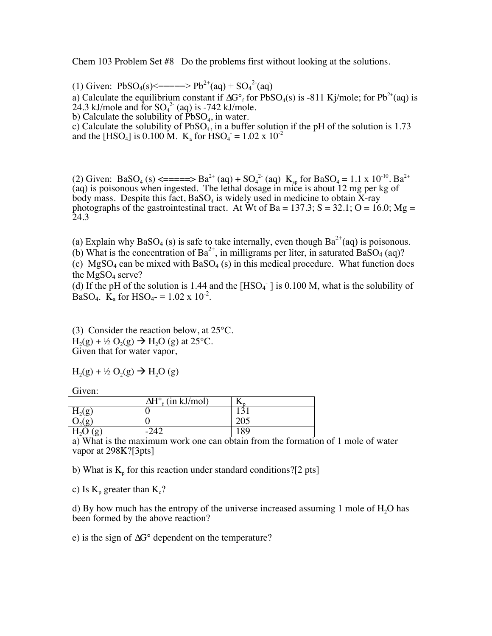Chem 103 Problem Set #8 Do the problems first without looking at the solutions.

(1) Given:  $PbSO_4(s) \leq 2 \leq p b^{2+}(aq) + SO_4^{2-}(aq)$ a) Calculate the equilibrium constant if  $\Delta G^{\circ}$  for PbSO<sub>4</sub>(s) is -811 Kj/mole; for Pb<sup>2+</sup>(aq) is  $24.3$  kJ/mole and for  $SO_4^2$  (aq) is -742 kJ/mole. b) Calculate the solubility of  $\text{PbSO}_4$ , in water.

c) Calculate the solubility of  $PbSO<sub>4</sub>$ , in a buffer solution if the pH of the solution is 1.73 and the [HSO<sub>4</sub>] is 0.100 M. K<sub>a</sub> for HSO<sub>4</sub> = 1.02 x 10<sup>-2</sup>

(2) Given: BaSO<sub>4</sub> (s) <=====> Ba<sup>2+</sup> (aq) + SO<sub>4</sub><sup>2-</sup> (aq) K<sub>sp</sub> for BaSO<sub>4</sub> = 1.1 x 10<sup>-10</sup>. Ba<sup>2+</sup> (aq) is poisonous when ingested. The lethal dosage in mice is about 12 mg per kg of body mass. Despite this fact,  $BaSO<sub>4</sub>$  is widely used in medicine to obtain X-ray photographs of the gastrointestinal tract. At Wt of Ba =  $137.3$ ; S =  $32.1$ ; O =  $16.0$ ; Mg = 24.3

(a) Explain why BaSO<sub>4</sub> (s) is safe to take internally, even though  $Ba^{2+}(aq)$  is poisonous.

(b) What is the concentration of  $Ba^{2+}$ , in milligrams per liter, in saturated  $BaSO_4$  (aq)?

(c) MgSO<sub>4</sub> can be mixed with BaSO<sub>4</sub> (s) in this medical procedure. What function does the  $MgSO<sub>4</sub>$  serve?

(d) If the pH of the solution is 1.44 and the  $[HSO<sub>4</sub>$ <sup>-</sup>  $]$  is 0.100 M, what is the solubility of BaSO<sub>4</sub>. K<sub>a</sub> for HSO<sub>4</sub>- =  $1.02 \times 10^{-2}$ .

(3) Consider the reaction below, at 25°C.  $H_2(g) + \frac{1}{2} O_2(g) \rightarrow H_2O(g)$  at 25°C. Given that for water vapor,

$$
H_2(g) + \frac{1}{2} O_2(g) \rightarrow H_2O(g)
$$

Given:

|                | $\overline{\Delta H^{\circ}}_{f}$ (in kJ/mol) |                  |
|----------------|-----------------------------------------------|------------------|
| 11 Lot         |                                               |                  |
|                |                                               | $\overline{205}$ |
| $\mathbf{n}_2$ |                                               | 89               |

a) What is the maximum work one can obtain from the formation of 1 mole of water vapor at 298K?[3pts]

b) What is  $K_p$  for this reaction under standard conditions?[2 pts]

c) Is  $K_p$  greater than  $K_c$ ?

d) By how much has the entropy of the universe increased assuming 1 mole of  $H<sub>2</sub>O$  has been formed by the above reaction?

e) is the sign of  $\Delta G^{\circ}$  dependent on the temperature?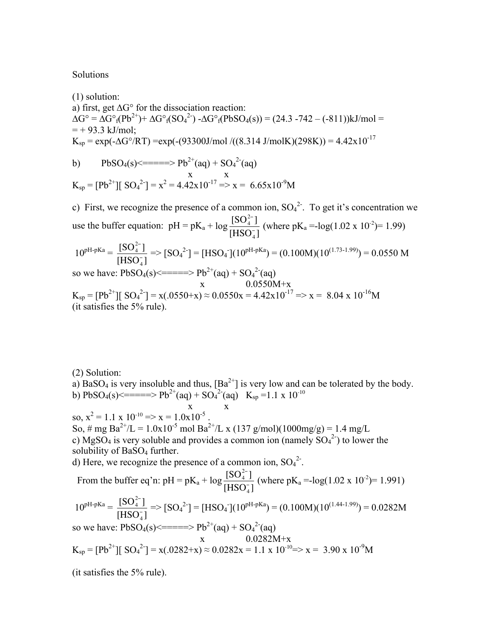## Solutions

(1) solution: a) first, get  $\Delta G^{\circ}$  for the dissociation reaction:  $\Delta G^{\circ} = \Delta G^{\circ}{}_{f}(Pb^{2+}) + \Delta G^{\circ}{}_{f}(SO_4^{2-}) - \Delta G^{\circ}{}_{f}(PbSO_4(s)) = (24.3 - 742 - (-811))kJ/mol =$  $= +93.3$  kJ/mol:  $K_{sp} = exp(-\Delta G^{\circ}/RT) = exp(-(93300J/mol/((8.314 J/molK)(298K))) = 4.42 \times 10^{-17}$ b) PbSO<sub>4</sub>(s) <=====> Pb<sup>2+</sup>(aq) + SO<sub>4</sub><sup>2-</sup>(aq) x x  $K_{sp} = [Pb^{2+}][SO_4^2] = x^2 = 4.42x10^{-17} \Rightarrow x = 6.65x10^{-9}M$ c) First, we recognize the presence of a common ion,  $SO_4^2$ . To get it's concentration we use the buffer equation:  $pH = pK_a + log \frac{[SO_4^{2-}]}{[NO_2^{-}]}$  $[HSO<sub>4</sub>]$ (where  $pK_a = -\log(1.02 \times 10^{-2}) = 1.99$ )  $10^{pH-pKa} = \frac{[SO_4^{2-}]}{[SO_4^{2-}]}$  $[HSO<sub>4</sub>]$  $\Rightarrow$   $[SO_4^2] = [HSO_4] (10^{pH-pKa}) = (0.100M)(10^{(1.73-1.99)}) = 0.0550 M$ so we have:  $PbSO_4(s) \le m = 2$   $Pb^{2+}(aq) + SO_4^{2-}(aq)$  $x = 0.0550M+x$  $K_{sp} = [Pb^{2+}][SO_4^2] = x(.0550+x) \approx 0.0550x = 4.42x10^{-17} \Rightarrow x = 8.04 \times 10^{-16}M$ (it satisfies the 5% rule).

(2) Solution:

a) BaSO<sub>4</sub> is very insoluble and thus,  $[Ba^{2+}]$  is very low and can be tolerated by the body. b) PbSO<sub>4</sub>(s) <=====> Pb<sup>2+</sup>(aq) + SO<sub>4</sub><sup>2-</sup>(aq) K<sub>sp</sub> =1.1 x 10<sup>-10</sup> x x so,  $x^2 = 1.1 \times 10^{-10} \Rightarrow x = 1.0x10^{-5}$ . So, # mg Ba<sup>2+</sup>/L = 1.0x10<sup>-5</sup> mol Ba<sup>2+</sup>/L x (137 g/mol)(1000mg/g) = 1.4 mg/L c) MgSO<sub>4</sub> is very soluble and provides a common ion (namely  $SO_4^2$ ) to lower the solubility of BaSO<sub>4</sub> further. d) Here, we recognize the presence of a common ion,  $SO_4^2$ . From the buffer eq'n:  $pH = pK_a + log \frac{[SO_4^2]}{[SIO_4^2]}$  $[HSO<sub>4</sub>]$ (where  $pK_a = -\log(1.02 \times 10^{-2}) = 1.991$ )  $10^{pH-pKa} = \frac{[SO_4^{2-}]}{[ISO_4^{2-}]}$  $[HSO<sub>4</sub>]$  $\Rightarrow$   $[SO_4^2] = [HSO_4^{\bullet}] (10^{pH-pKa}) = (0.100M)(10^{(1.44-1.99)}) = 0.0282M$ so we have:  $PbSO_4(s) \le m = 2$   $Pb^{2+}(aq) + SO_4^{2-}(aq)$  x 0.0282M+x  $K_{sp} = [Pb^{2+}][SO_4^2] = x(.0282+x) \approx 0.0282x = 1.1 \times 10^{-10} = x = 3.90 \times 10^{-9}M$ (it satisfies the 5% rule).